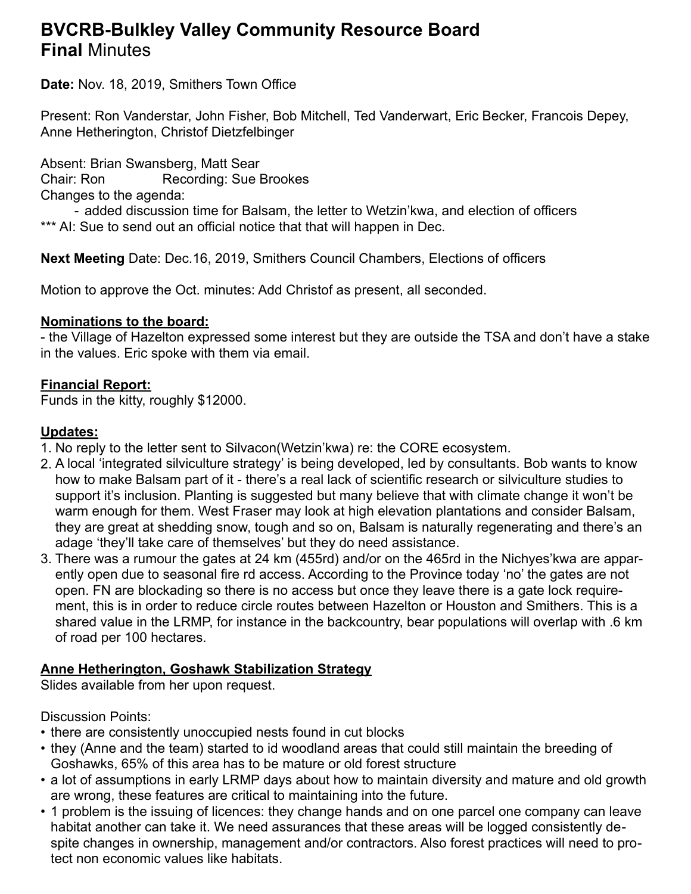# **BVCRB-Bulkley Valley Community Resource Board Final** Minutes

**Date:** Nov. 18, 2019, Smithers Town Office

Present: Ron Vanderstar, John Fisher, Bob Mitchell, Ted Vanderwart, Eric Becker, Francois Depey, Anne Hetherington, Christof Dietzfelbinger

Absent: Brian Swansberg, Matt Sear Chair: Ron Recording: Sue Brookes Changes to the agenda:

- added discussion time for Balsam, the letter to Wetzin'kwa, and election of officers \*\*\* AI: Sue to send out an official notice that that will happen in Dec.

**Next Meeting** Date: Dec.16, 2019, Smithers Council Chambers, Elections of officers

Motion to approve the Oct. minutes: Add Christof as present, all seconded.

## **Nominations to the board:**

- the Village of Hazelton expressed some interest but they are outside the TSA and don't have a stake in the values. Eric spoke with them via email.

#### **Financial Report:**

Funds in the kitty, roughly \$12000.

#### **Updates:**

- 1. No reply to the letter sent to Silvacon(Wetzin'kwa) re: the CORE ecosystem.
- 2. A local 'integrated silviculture strategy' is being developed, led by consultants. Bob wants to know how to make Balsam part of it - there's a real lack of scientific research or silviculture studies to support it's inclusion. Planting is suggested but many believe that with climate change it won't be warm enough for them. West Fraser may look at high elevation plantations and consider Balsam, they are great at shedding snow, tough and so on, Balsam is naturally regenerating and there's an adage 'they'll take care of themselves' but they do need assistance.
- 3. There was a rumour the gates at 24 km (455rd) and/or on the 465rd in the Nichyes'kwa are apparently open due to seasonal fire rd access. According to the Province today 'no' the gates are not open. FN are blockading so there is no access but once they leave there is a gate lock requirement, this is in order to reduce circle routes between Hazelton or Houston and Smithers. This is a shared value in the LRMP, for instance in the backcountry, bear populations will overlap with .6 km of road per 100 hectares.

## **Anne Hetherington, Goshawk Stabilization Strategy**

Slides available from her upon request.

## Discussion Points:

- there are consistently unoccupied nests found in cut blocks
- they (Anne and the team) started to id woodland areas that could still maintain the breeding of Goshawks, 65% of this area has to be mature or old forest structure
- a lot of assumptions in early LRMP days about how to maintain diversity and mature and old growth are wrong, these features are critical to maintaining into the future.
- 1 problem is the issuing of licences: they change hands and on one parcel one company can leave habitat another can take it. We need assurances that these areas will be logged consistently despite changes in ownership, management and/or contractors. Also forest practices will need to protect non economic values like habitats.